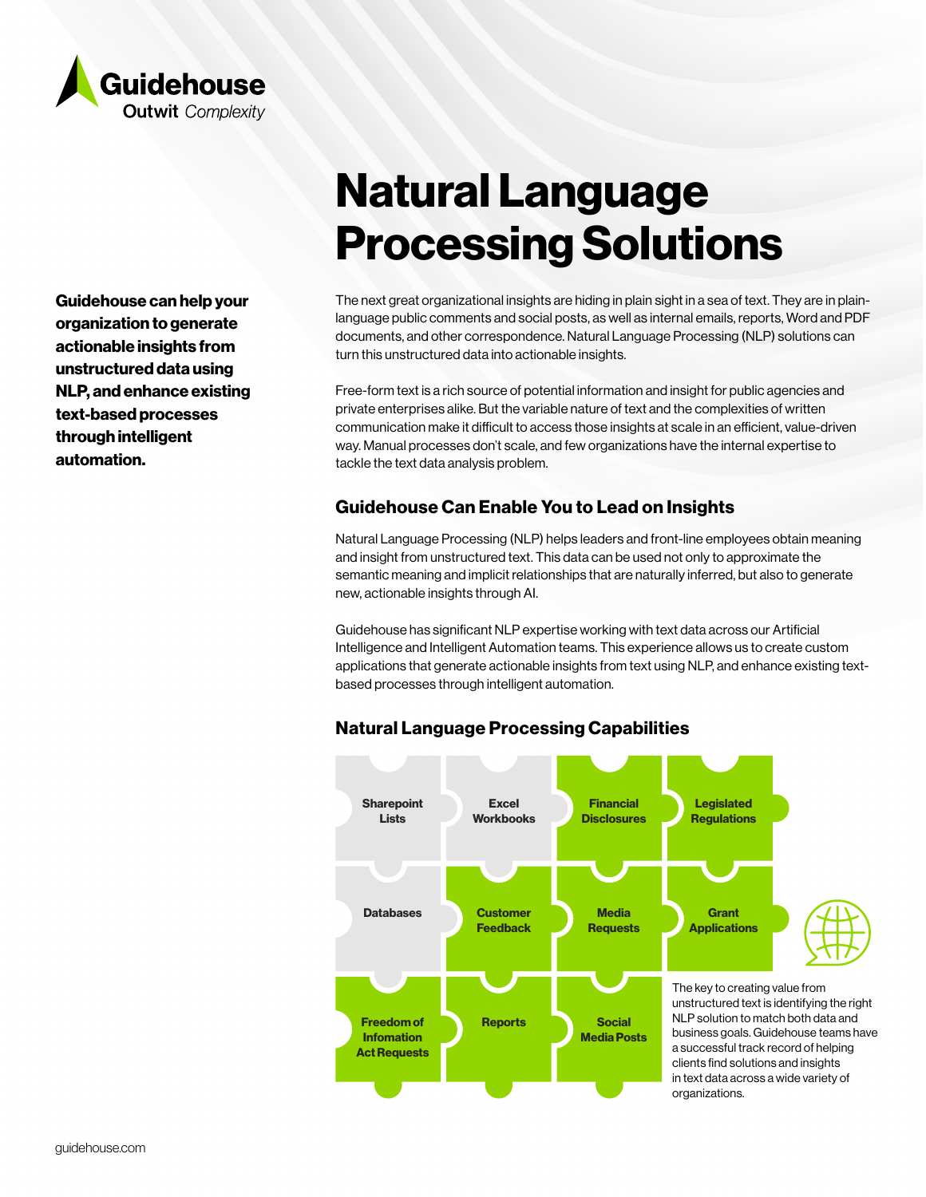

Guidehouse can help your organization to generate actionable insights from unstructured data using NLP, and enhance existing text-based processes through intelligent automation.

# Natural Language Processing Solutions

The next great organizational insights are hiding in plain sight in a sea of text. They are in plainlanguage public comments and social posts, as well as internal emails, reports, Word and PDF documents, and other correspondence. Natural Language Processing (NLP) solutions can turn this unstructured data into actionable insights.

Free-form text is a rich source of potential information and insight for public agencies and private enterprises alike. But the variable nature of text and the complexities of written communication make it difficult to access those insights at scale in an efficient, value-driven way. Manual processes don't scale, and few organizations have the internal expertise to tackle the text data analysis problem.

# Guidehouse Can Enable You to Lead on Insights

Natural Language Processing (NLP) helps leaders and front-line employees obtain meaning and insight from unstructured text. This data can be used not only to approximate the semantic meaning and implicit relationships that are naturally inferred, but also to generate new, actionable insights through AI.

Guidehouse has significant NLP expertise working with text data across our Artificial Intelligence and Intelligent Automation teams. This experience allows us to create custom applications that generate actionable insights from text using NLP, and enhance existing textbased processes through intelligent automation.



# Natural Language Processing Capabilities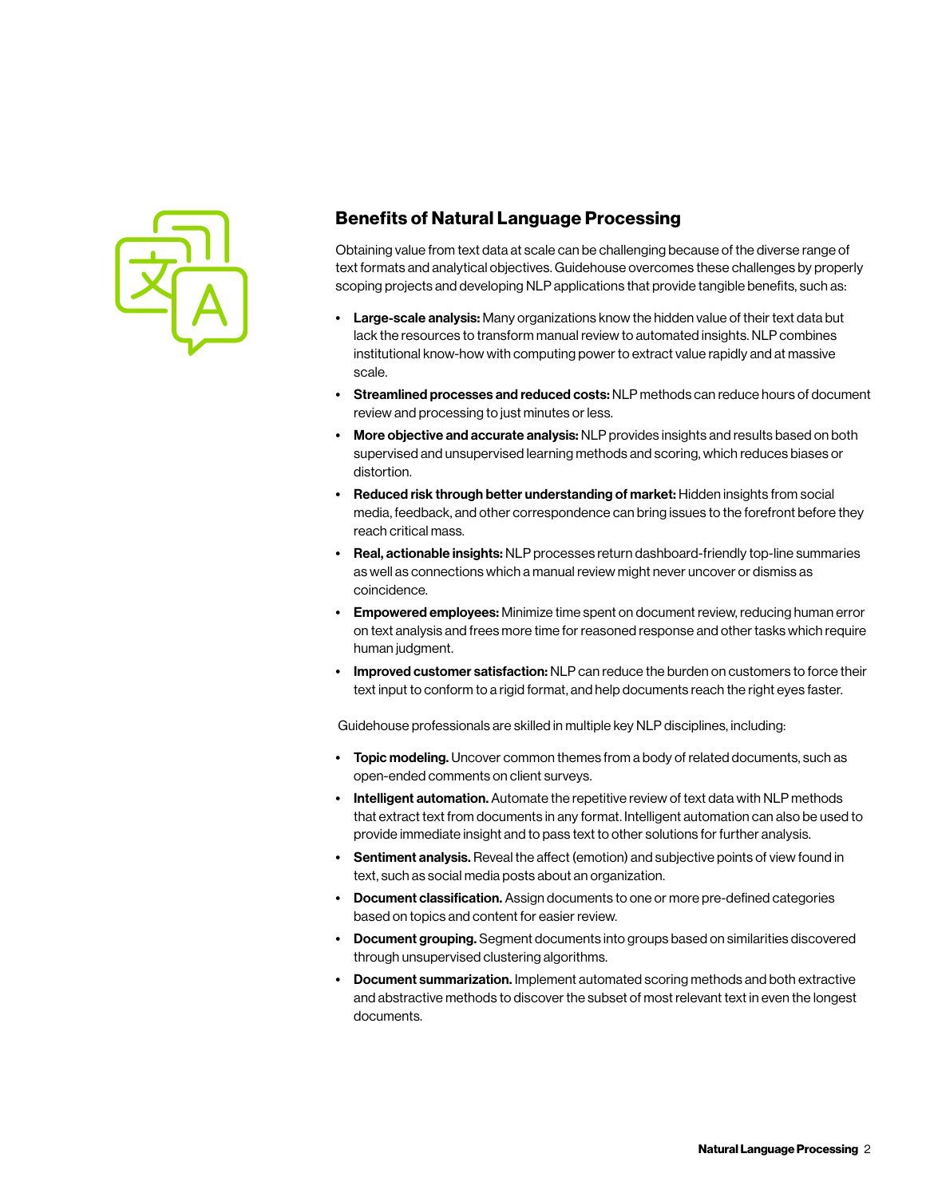

# Benefits of Natural Language Processing

Obtaining value from text data at scale can be challenging because of the diverse range of text formats and analytical objectives. Guidehouse overcomes these challenges by properly scoping projects and developing NLP applications that provide tangible benefits, such as:

- **Large-scale analysis:** Many organizations know the hidden value of their text data but lack the resources to transform manual review to automated insights. NLP combines institutional know-how with computing power to extract value rapidly and at massive scale.
- Streamlined processes and reduced costs: NLP methods can reduce hours of document review and processing to just minutes or less.
- More objective and accurate analysis: NLP provides insights and results based on both supervised and unsupervised learning methods and scoring, which reduces biases or distortion.
- Reduced risk through better understanding of market: Hidden insights from social media, feedback, and other correspondence can bring issues to the forefront before they reach critical mass.
- Real, actionable insights: NLP processes return dashboard-friendly top-line summaries as well as connections which a manual review might never uncover or dismiss as coincidence.
- **Empowered employees:** Minimize time spent on document review, reducing human error on text analysis and frees more time for reasoned response and other tasks which require human judgment.
- Improved customer satisfaction: NLP can reduce the burden on customers to force their text input to conform to a rigid format, and help documents reach the right eyes faster.

Guidehouse professionals are skilled in multiple key NLP disciplines, including:

- Topic modeling. Uncover common themes from a body of related documents, such as open-ended comments on client surveys.
- Intelligent automation. Automate the repetitive review of text data with NLP methods that extract text from documents in any format. Intelligent automation can also be used to provide immediate insight and to pass text to other solutions for further analysis.
- Sentiment analysis. Reveal the affect (emotion) and subjective points of view found in text, such as social media posts about an organization.
- Document classification. Assign documents to one or more pre-defined categories based on topics and content for easier review.
- Document grouping. Segment documents into groups based on similarities discovered through unsupervised clustering algorithms.
- Document summarization. Implement automated scoring methods and both extractive and abstractive methods to discover the subset of most relevant text in even the longest documents.